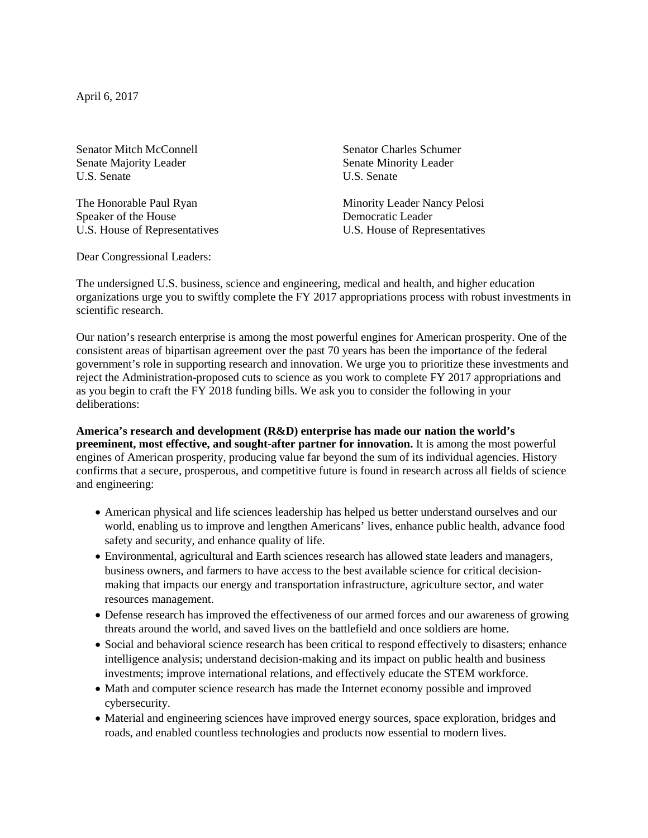April 6, 2017

Senator Mitch McConnell<br>Senator Charles Schumer<br>Senate Majority Leader<br>Senate Minority Leader U.S. Senate U.S. Senate

Speaker of the House Democratic Leader

Senate Minority Leader

The Honorable Paul Ryan Minority Leader Nancy Pelosi U.S. House of Representatives U.S. House of Representatives

Dear Congressional Leaders:

The undersigned U.S. business, science and engineering, medical and health, and higher education organizations urge you to swiftly complete the FY 2017 appropriations process with robust investments in scientific research.

Our nation's research enterprise is among the most powerful engines for American prosperity. One of the consistent areas of bipartisan agreement over the past 70 years has been the importance of the federal government's role in supporting research and innovation. We urge you to prioritize these investments and reject the Administration-proposed cuts to science as you work to complete FY 2017 appropriations and as you begin to craft the FY 2018 funding bills. We ask you to consider the following in your deliberations:

## **America's research and development (R&D) enterprise has made our nation the world's preeminent, most effective, and sought-after partner for innovation.** It is among the most powerful engines of American prosperity, producing value far beyond the sum of its individual agencies. History confirms that a secure, prosperous, and competitive future is found in research across all fields of science and engineering:

- American physical and life sciences leadership has helped us better understand ourselves and our world, enabling us to improve and lengthen Americans' lives, enhance public health, advance food safety and security, and enhance quality of life.
- Environmental, agricultural and Earth sciences research has allowed state leaders and managers, business owners, and farmers to have access to the best available science for critical decisionmaking that impacts our energy and transportation infrastructure, agriculture sector, and water resources management.
- Defense research has improved the effectiveness of our armed forces and our awareness of growing threats around the world, and saved lives on the battlefield and once soldiers are home.
- Social and behavioral science research has been critical to respond effectively to disasters; enhance intelligence analysis; understand decision-making and its impact on public health and business investments; improve international relations, and effectively educate the STEM workforce.
- Math and computer science research has made the Internet economy possible and improved cybersecurity.
- Material and engineering sciences have improved energy sources, space exploration, bridges and roads, and enabled countless technologies and products now essential to modern lives.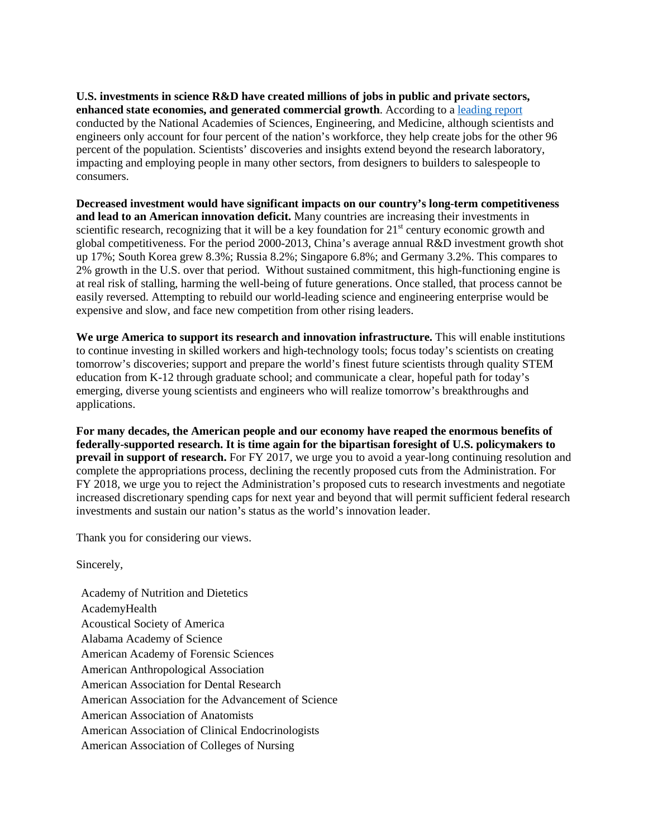**U.S. investments in science R&D have created millions of jobs in public and private sectors, enhanced state economies, and generated commercial growth**. According to a [leading report](https://www.nap.edu/catalog/12999/rising-above-the-gathering-storm-revisited-rapidly-approaching-category-5) conducted by the National Academies of Sciences, Engineering, and Medicine, although scientists and engineers only account for four percent of the nation's workforce, they help create jobs for the other 96 percent of the population. Scientists' discoveries and insights extend beyond the research laboratory, impacting and employing people in many other sectors, from designers to builders to salespeople to consumers.

**Decreased investment would have significant impacts on our country's long-term competitiveness and lead to an American innovation deficit.** Many countries are increasing their investments in scientific research, recognizing that it will be a key foundation for  $21<sup>st</sup>$  century economic growth and global competitiveness. For the period 2000-2013, China's average annual R&D investment growth shot up 17%; South Korea grew 8.3%; Russia 8.2%; Singapore 6.8%; and Germany 3.2%. This compares to 2% growth in the U.S. over that period. Without sustained commitment, this high-functioning engine is at real risk of stalling, harming the well-being of future generations. Once stalled, that process cannot be easily reversed. Attempting to rebuild our world-leading science and engineering enterprise would be expensive and slow, and face new competition from other rising leaders.

**We urge America to support its research and innovation infrastructure.** This will enable institutions to continue investing in skilled workers and high-technology tools; focus today's scientists on creating tomorrow's discoveries; support and prepare the world's finest future scientists through quality STEM education from K-12 through graduate school; and communicate a clear, hopeful path for today's emerging, diverse young scientists and engineers who will realize tomorrow's breakthroughs and applications.

**For many decades, the American people and our economy have reaped the enormous benefits of federally-supported research. It is time again for the bipartisan foresight of U.S. policymakers to prevail in support of research.** For FY 2017, we urge you to avoid a year-long continuing resolution and complete the appropriations process, declining the recently proposed cuts from the Administration. For FY 2018, we urge you to reject the Administration's proposed cuts to research investments and negotiate increased discretionary spending caps for next year and beyond that will permit sufficient federal research investments and sustain our nation's status as the world's innovation leader.

Thank you for considering our views.

Sincerely,

Academy of Nutrition and Dietetics AcademyHealth Acoustical Society of America Alabama Academy of Science American Academy of Forensic Sciences American Anthropological Association American Association for Dental Research American Association for the Advancement of Science American Association of Anatomists American Association of Clinical Endocrinologists American Association of Colleges of Nursing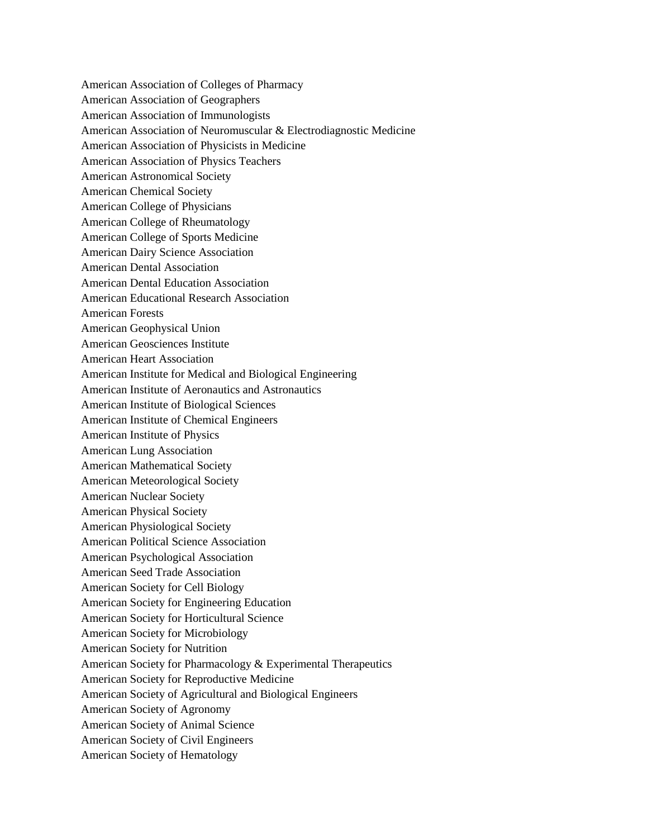American Association of Colleges of Pharmacy American Association of Geographers American Association of Immunologists American Association of Neuromuscular & Electrodiagnostic Medicine American Association of Physicists in Medicine American Association of Physics Teachers American Astronomical Society American Chemical Society American College of Physicians American College of Rheumatology American College of Sports Medicine American Dairy Science Association American Dental Association American Dental Education Association American Educational Research Association American Forests American Geophysical Union American Geosciences Institute American Heart Association American Institute for Medical and Biological Engineering American Institute of Aeronautics and Astronautics American Institute of Biological Sciences American Institute of Chemical Engineers American Institute of Physics American Lung Association American Mathematical Society American Meteorological Society American Nuclear Society American Physical Society American Physiological Society American Political Science Association American Psychological Association American Seed Trade Association American Society for Cell Biology American Society for Engineering Education American Society for Horticultural Science American Society for Microbiology American Society for Nutrition American Society for Pharmacology & Experimental Therapeutics American Society for Reproductive Medicine American Society of Agricultural and Biological Engineers American Society of Agronomy American Society of Animal Science American Society of Civil Engineers American Society of Hematology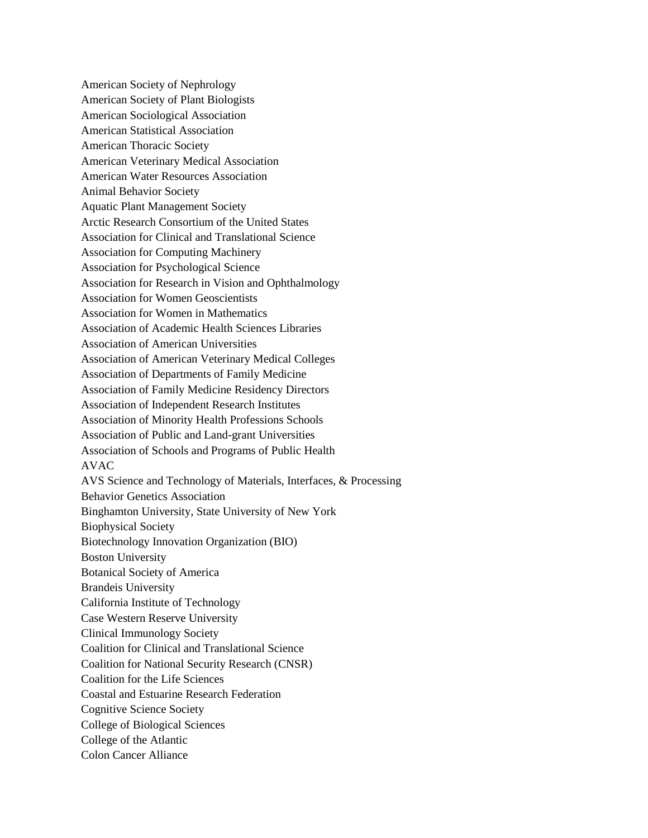American Society of Nephrology American Society of Plant Biologists American Sociological Association American Statistical Association American Thoracic Society American Veterinary Medical Association American Water Resources Association Animal Behavior Society Aquatic Plant Management Society Arctic Research Consortium of the United States Association for Clinical and Translational Science Association for Computing Machinery Association for Psychological Science Association for Research in Vision and Ophthalmology Association for Women Geoscientists Association for Women in Mathematics Association of Academic Health Sciences Libraries Association of American Universities Association of American Veterinary Medical Colleges Association of Departments of Family Medicine Association of Family Medicine Residency Directors Association of Independent Research Institutes Association of Minority Health Professions Schools Association of Public and Land-grant Universities Association of Schools and Programs of Public Health AVAC AVS Science and Technology of Materials, Interfaces, & Processing Behavior Genetics Association Binghamton University, State University of New York Biophysical Society Biotechnology Innovation Organization (BIO) Boston University Botanical Society of America Brandeis University California Institute of Technology Case Western Reserve University Clinical Immunology Society Coalition for Clinical and Translational Science Coalition for National Security Research (CNSR) Coalition for the Life Sciences Coastal and Estuarine Research Federation Cognitive Science Society College of Biological Sciences College of the Atlantic Colon Cancer Alliance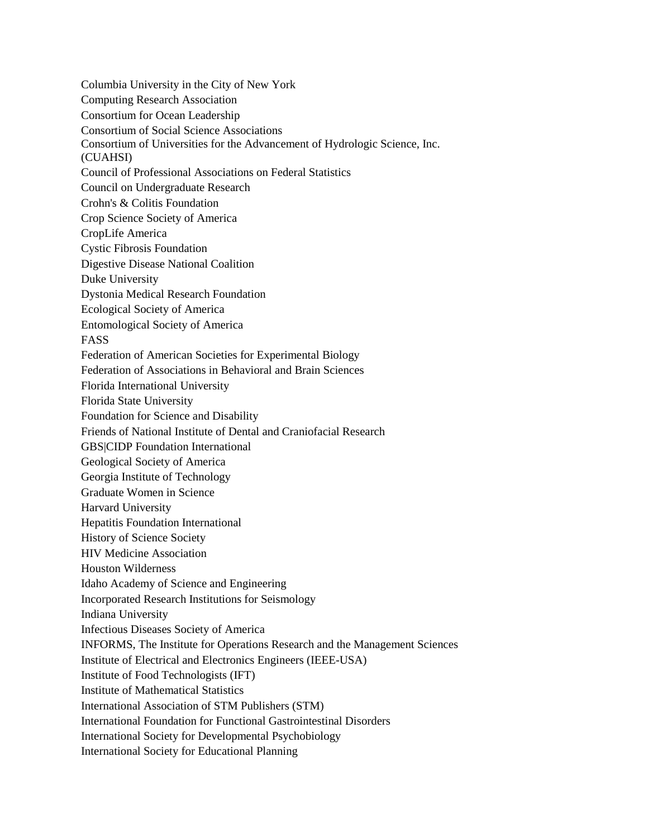Columbia University in the City of New York Computing Research Association Consortium for Ocean Leadership Consortium of Social Science Associations Consortium of Universities for the Advancement of Hydrologic Science, Inc. (CUAHSI) Council of Professional Associations on Federal Statistics Council on Undergraduate Research Crohn's & Colitis Foundation Crop Science Society of America CropLife America Cystic Fibrosis Foundation Digestive Disease National Coalition Duke University Dystonia Medical Research Foundation Ecological Society of America Entomological Society of America FASS Federation of American Societies for Experimental Biology Federation of Associations in Behavioral and Brain Sciences Florida International University Florida State University Foundation for Science and Disability Friends of National Institute of Dental and Craniofacial Research GBS|CIDP Foundation International Geological Society of America Georgia Institute of Technology Graduate Women in Science Harvard University Hepatitis Foundation International History of Science Society HIV Medicine Association Houston Wilderness Idaho Academy of Science and Engineering Incorporated Research Institutions for Seismology Indiana University Infectious Diseases Society of America INFORMS, The Institute for Operations Research and the Management Sciences Institute of Electrical and Electronics Engineers (IEEE-USA) Institute of Food Technologists (IFT) Institute of Mathematical Statistics International Association of STM Publishers (STM) International Foundation for Functional Gastrointestinal Disorders International Society for Developmental Psychobiology International Society for Educational Planning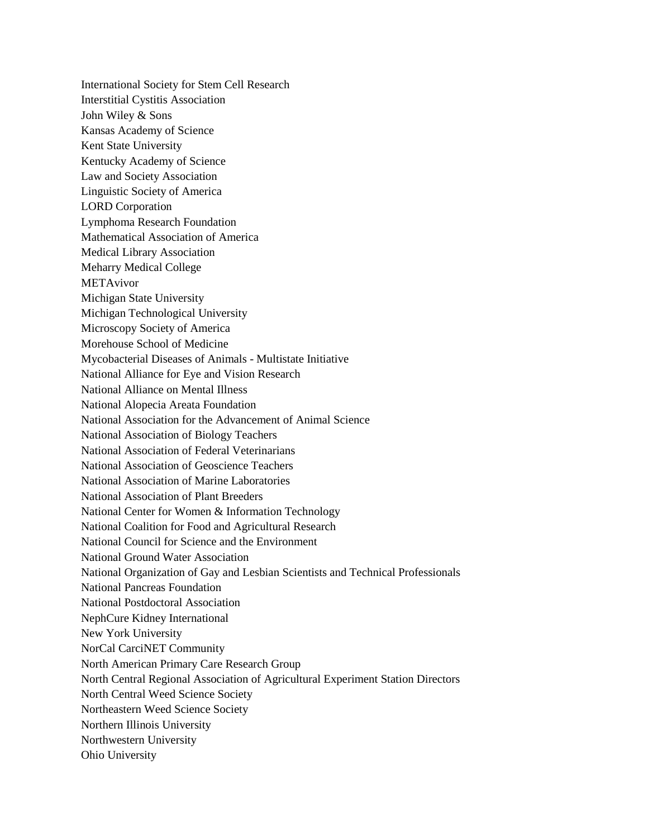International Society for Stem Cell Research Interstitial Cystitis Association John Wiley & Sons Kansas Academy of Science Kent State University Kentucky Academy of Science Law and Society Association Linguistic Society of America LORD Corporation Lymphoma Research Foundation Mathematical Association of America Medical Library Association Meharry Medical College METAvivor Michigan State University Michigan Technological University Microscopy Society of America Morehouse School of Medicine Mycobacterial Diseases of Animals - Multistate Initiative National Alliance for Eye and Vision Research National Alliance on Mental Illness National Alopecia Areata Foundation National Association for the Advancement of Animal Science National Association of Biology Teachers National Association of Federal Veterinarians National Association of Geoscience Teachers National Association of Marine Laboratories National Association of Plant Breeders National Center for Women & Information Technology National Coalition for Food and Agricultural Research National Council for Science and the Environment National Ground Water Association National Organization of Gay and Lesbian Scientists and Technical Professionals National Pancreas Foundation National Postdoctoral Association NephCure Kidney International New York University NorCal CarciNET Community North American Primary Care Research Group North Central Regional Association of Agricultural Experiment Station Directors North Central Weed Science Society Northeastern Weed Science Society Northern Illinois University Northwestern University Ohio University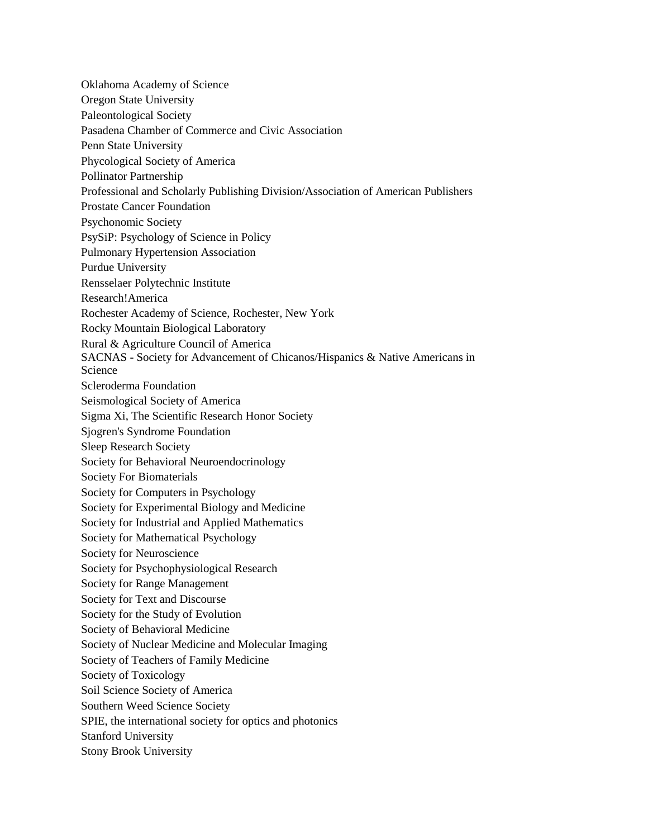Oklahoma Academy of Science Oregon State University Paleontological Society Pasadena Chamber of Commerce and Civic Association Penn State University Phycological Society of America Pollinator Partnership Professional and Scholarly Publishing Division/Association of American Publishers Prostate Cancer Foundation Psychonomic Society PsySiP: Psychology of Science in Policy Pulmonary Hypertension Association Purdue University Rensselaer Polytechnic Institute Research!America Rochester Academy of Science, Rochester, New York Rocky Mountain Biological Laboratory Rural & Agriculture Council of America SACNAS - Society for Advancement of Chicanos/Hispanics & Native Americans in Science Scleroderma Foundation Seismological Society of America Sigma Xi, The Scientific Research Honor Society Sjogren's Syndrome Foundation Sleep Research Society Society for Behavioral Neuroendocrinology Society For Biomaterials Society for Computers in Psychology Society for Experimental Biology and Medicine Society for Industrial and Applied Mathematics Society for Mathematical Psychology Society for Neuroscience Society for Psychophysiological Research Society for Range Management Society for Text and Discourse Society for the Study of Evolution Society of Behavioral Medicine Society of Nuclear Medicine and Molecular Imaging Society of Teachers of Family Medicine Society of Toxicology Soil Science Society of America Southern Weed Science Society SPIE, the international society for optics and photonics Stanford University Stony Brook University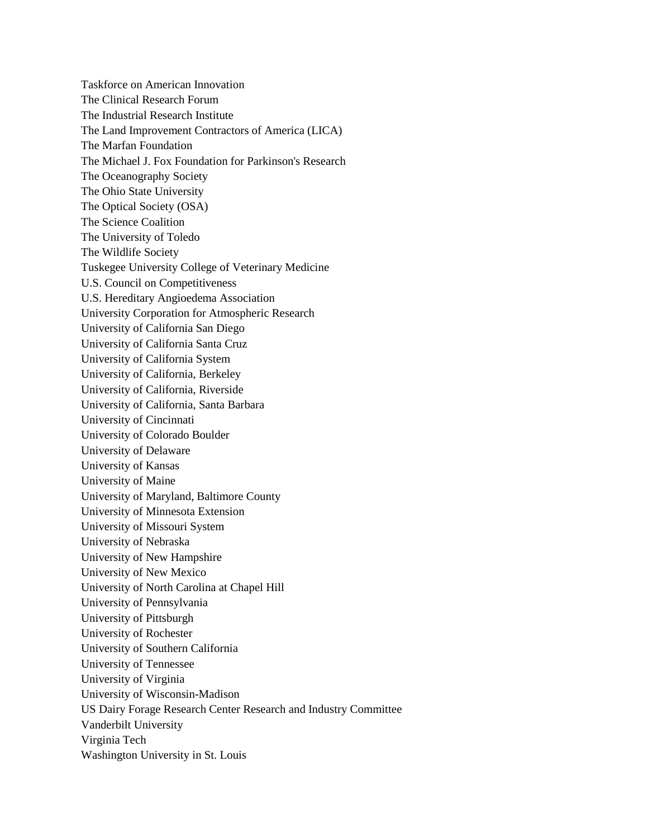Taskforce on American Innovation The Clinical Research Forum The Industrial Research Institute The Land Improvement Contractors of America (LICA) The Marfan Foundation The Michael J. Fox Foundation for Parkinson's Research The Oceanography Society The Ohio State University The Optical Society (OSA) The Science Coalition The University of Toledo The Wildlife Society Tuskegee University College of Veterinary Medicine U.S. Council on Competitiveness U.S. Hereditary Angioedema Association University Corporation for Atmospheric Research University of California San Diego University of California Santa Cruz University of California System University of California, Berkeley University of California, Riverside University of California, Santa Barbara University of Cincinnati University of Colorado Boulder University of Delaware University of Kansas University of Maine University of Maryland, Baltimore County University of Minnesota Extension University of Missouri System University of Nebraska University of New Hampshire University of New Mexico University of North Carolina at Chapel Hill University of Pennsylvania University of Pittsburgh University of Rochester University of Southern California University of Tennessee University of Virginia University of Wisconsin-Madison US Dairy Forage Research Center Research and Industry Committee Vanderbilt University Virginia Tech Washington University in St. Louis